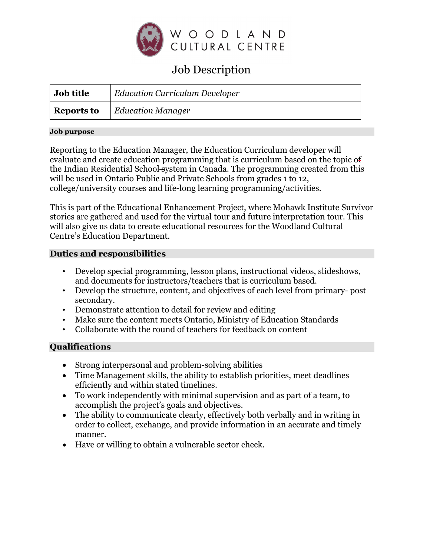

# Job Description

| Job title  | <b>Education Curriculum Developer</b> |
|------------|---------------------------------------|
| Reports to | <i>Education Manager</i>              |

#### **Job purpose**

Reporting to the Education Manager, the Education Curriculum developer will evaluate and create education programming that is curriculum based on the topic of the Indian Residential School system in Canada. The programming created from this will be used in Ontario Public and Private Schools from grades 1 to 12, college/university courses and life-long learning programming/activities.

This is part of the Educational Enhancement Project, where Mohawk Institute Survivor stories are gathered and used for the virtual tour and future interpretation tour. This will also give us data to create educational resources for the Woodland Cultural Centre's Education Department.

## **Duties and responsibilities**

- Develop special programming, lesson plans, instructional videos, slideshows, and documents for instructors/teachers that is curriculum based.
- Develop the structure, content, and objectives of each level from primary- post secondary.
- Demonstrate attention to detail for review and editing
- Make sure the content meets Ontario, Ministry of Education Standards
- Collaborate with the round of teachers for feedback on content

# **Qualifications**

- Strong interpersonal and problem-solving abilities
- Time Management skills, the ability to establish priorities, meet deadlines efficiently and within stated timelines.
- To work independently with minimal supervision and as part of a team, to accomplish the project's goals and objectives.
- The ability to communicate clearly, effectively both verbally and in writing in order to collect, exchange, and provide information in an accurate and timely manner.
- Have or willing to obtain a vulnerable sector check.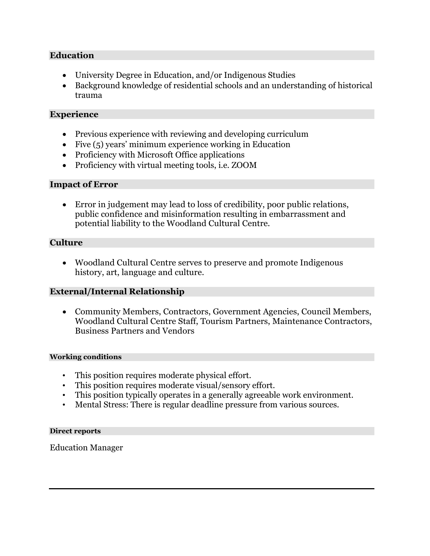## **Education**

- University Degree in Education, and/or Indigenous Studies
- Background knowledge of residential schools and an understanding of historical trauma

## **Experience**

- Previous experience with reviewing and developing curriculum
- Five  $(5)$  years' minimum experience working in Education
- Proficiency with Microsoft Office applications
- Proficiency with virtual meeting tools, i.e. ZOOM

## **Impact of Error**

• Error in judgement may lead to loss of credibility, poor public relations, public confidence and misinformation resulting in embarrassment and potential liability to the Woodland Cultural Centre.

## **Culture**

• Woodland Cultural Centre serves to preserve and promote Indigenous history, art, language and culture.

## **External/Internal Relationship**

• Community Members, Contractors, Government Agencies, Council Members, Woodland Cultural Centre Staff, Tourism Partners, Maintenance Contractors, Business Partners and Vendors

#### **Working conditions**

- This position requires moderate physical effort.
- This position requires moderate visual/sensory effort.
- This position typically operates in a generally agreeable work environment.
- Mental Stress: There is regular deadline pressure from various sources.

#### **Direct reports**

Education Manager